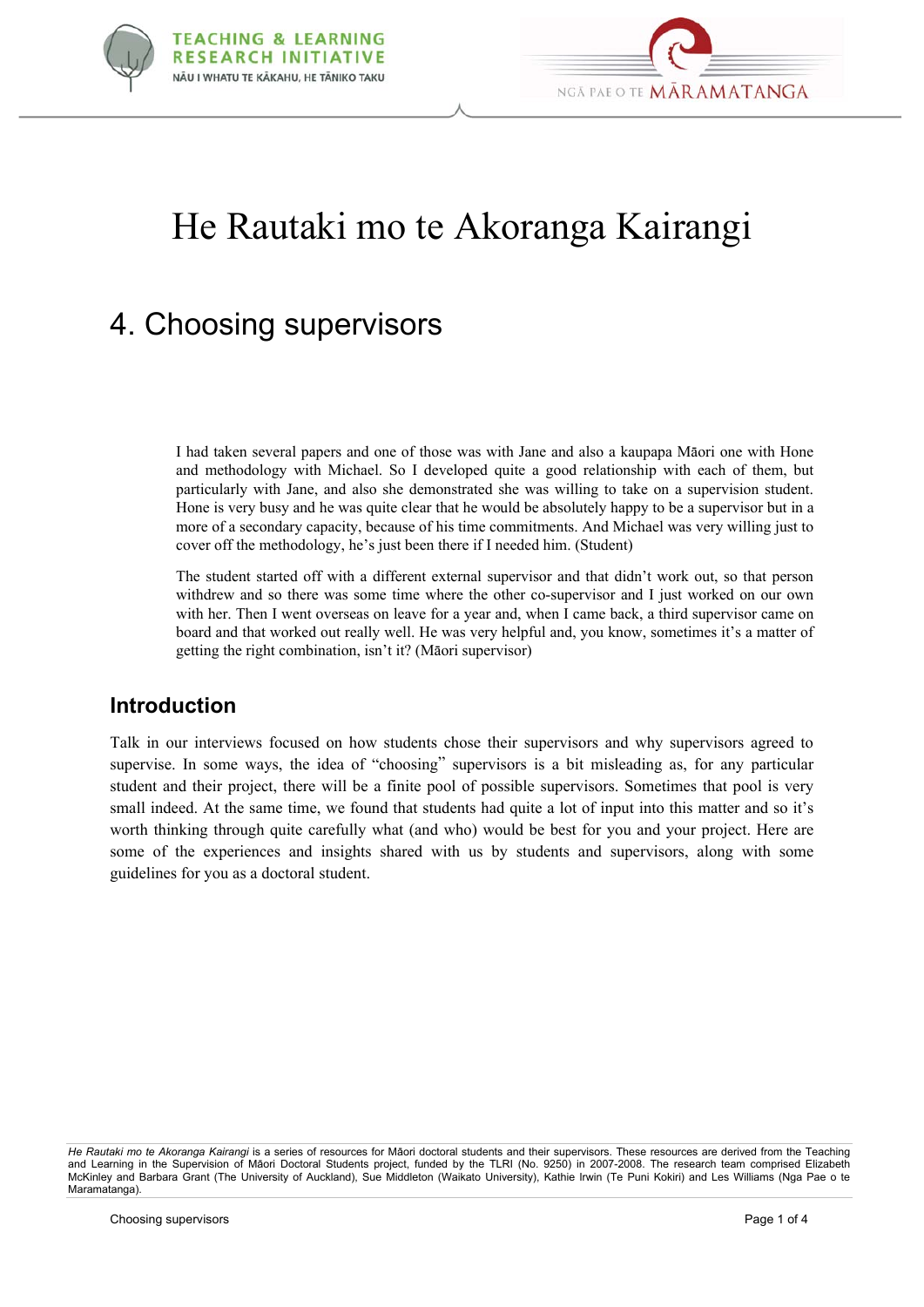



# He Rautaki mo te Akoranga Kairangi

# 4. Choosing supervisors

I had taken several papers and one of those was with Jane and also a kaupapa Mäori one with Hone and methodology with Michael. So I developed quite a good relationship with each of them, but particularly with Jane, and also she demonstrated she was willing to take on a supervision student. Hone is very busy and he was quite clear that he would be absolutely happy to be a supervisor but in a more of a secondary capacity, because of his time commitments. And Michael was very willing just to cover off the methodology, he's just been there if I needed him. (Student)

The student started off with a different external supervisor and that didn't work out, so that person withdrew and so there was some time where the other co-supervisor and I just worked on our own with her. Then I went overseas on leave for a year and, when I came back, a third supervisor came on board and that worked out really well. He was very helpful and, you know, sometimes it's a matter of getting the right combination, isn't it? (Mäori supervisor)

#### **Introduction**

Talk in our interviews focused on how students chose their supervisors and why supervisors agreed to supervise. In some ways, the idea of "choosing" supervisors is a bit misleading as, for any particular student and their project, there will be a finite pool of possible supervisors. Sometimes that pool is very small indeed. At the same time, we found that students had quite a lot of input into this matter and so it's worth thinking through quite carefully what (and who) would be best for you and your project. Here are some of the experiences and insights shared with us by students and supervisors, along with some guidelines for you as a doctoral student.

*He Rautaki mo te Akoranga Kairangi* is a series of resources for Mäori doctoral students and their supervisors. These resources are derived from the Teaching and Learning in the Supervision of Mäori Doctoral Students project, funded by the TLRI (No. 9250) in 2007-2008. The research team comprised Elizabeth McKinley and Barbara Grant (The University of Auckland), Sue Middleton (Waikato University), Kathie Irwin (Te Puni Kokiri) and Les Williams (Nga Pae o te Maramatanga).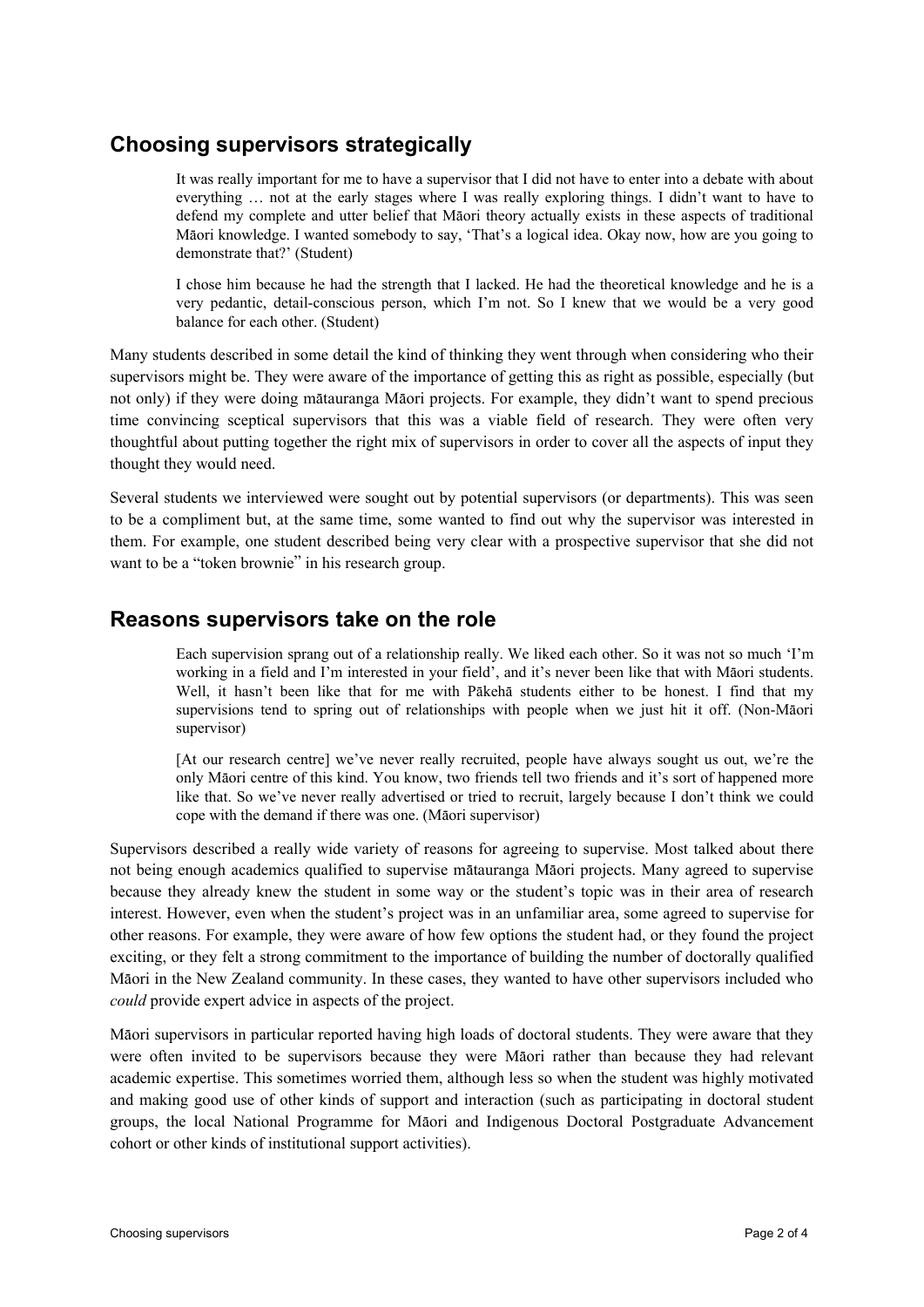## **Choosing supervisors strategically**

It was really important for me to have a supervisor that I did not have to enter into a debate with about everything … not at the early stages where I was really exploring things. I didn't want to have to defend my complete and utter belief that Mäori theory actually exists in these aspects of traditional Mäori knowledge. I wanted somebody to say, 'That's a logical idea. Okay now, how are you going to demonstrate that?' (Student)

I chose him because he had the strength that I lacked. He had the theoretical knowledge and he is a very pedantic, detail-conscious person, which I'm not. So I knew that we would be a very good balance for each other. (Student)

Many students described in some detail the kind of thinking they went through when considering who their supervisors might be. They were aware of the importance of getting this as right as possible, especially (but not only) if they were doing mätauranga Mäori projects. For example, they didn't want to spend precious time convincing sceptical supervisors that this was a viable field of research. They were often very thoughtful about putting together the right mix of supervisors in order to cover all the aspects of input they thought they would need.

Several students we interviewed were sought out by potential supervisors (or departments). This was seen to be a compliment but, at the same time, some wanted to find out why the supervisor was interested in them. For example, one student described being very clear with a prospective supervisor that she did not want to be a "token brownie" in his research group.

#### **Reasons supervisors take on the role**

Each supervision sprang out of a relationship really. We liked each other. So it was not so much 'I'm working in a field and I'm interested in your field', and it's never been like that with Mäori students. Well, it hasn't been like that for me with Päkehä students either to be honest. I find that my supervisions tend to spring out of relationships with people when we just hit it off. (Non-Mäori supervisor)

[At our research centre] we've never really recruited, people have always sought us out, we're the only Mäori centre of this kind. You know, two friends tell two friends and it's sort of happened more like that. So we've never really advertised or tried to recruit, largely because I don't think we could cope with the demand if there was one. (Mäori supervisor)

Supervisors described a really wide variety of reasons for agreeing to supervise. Most talked about there not being enough academics qualified to supervise mätauranga Mäori projects. Many agreed to supervise because they already knew the student in some way or the student's topic was in their area of research interest. However, even when the student's project was in an unfamiliar area, some agreed to supervise for other reasons. For example, they were aware of how few options the student had, or they found the project exciting, or they felt a strong commitment to the importance of building the number of doctorally qualified Mäori in the New Zealand community. In these cases, they wanted to have other supervisors included who *could* provide expert advice in aspects of the project.

Mäori supervisors in particular reported having high loads of doctoral students. They were aware that they were often invited to be supervisors because they were Mäori rather than because they had relevant academic expertise. This sometimes worried them, although less so when the student was highly motivated and making good use of other kinds of support and interaction (such as participating in doctoral student groups, the local National Programme for Mäori and Indigenous Doctoral Postgraduate Advancement cohort or other kinds of institutional support activities).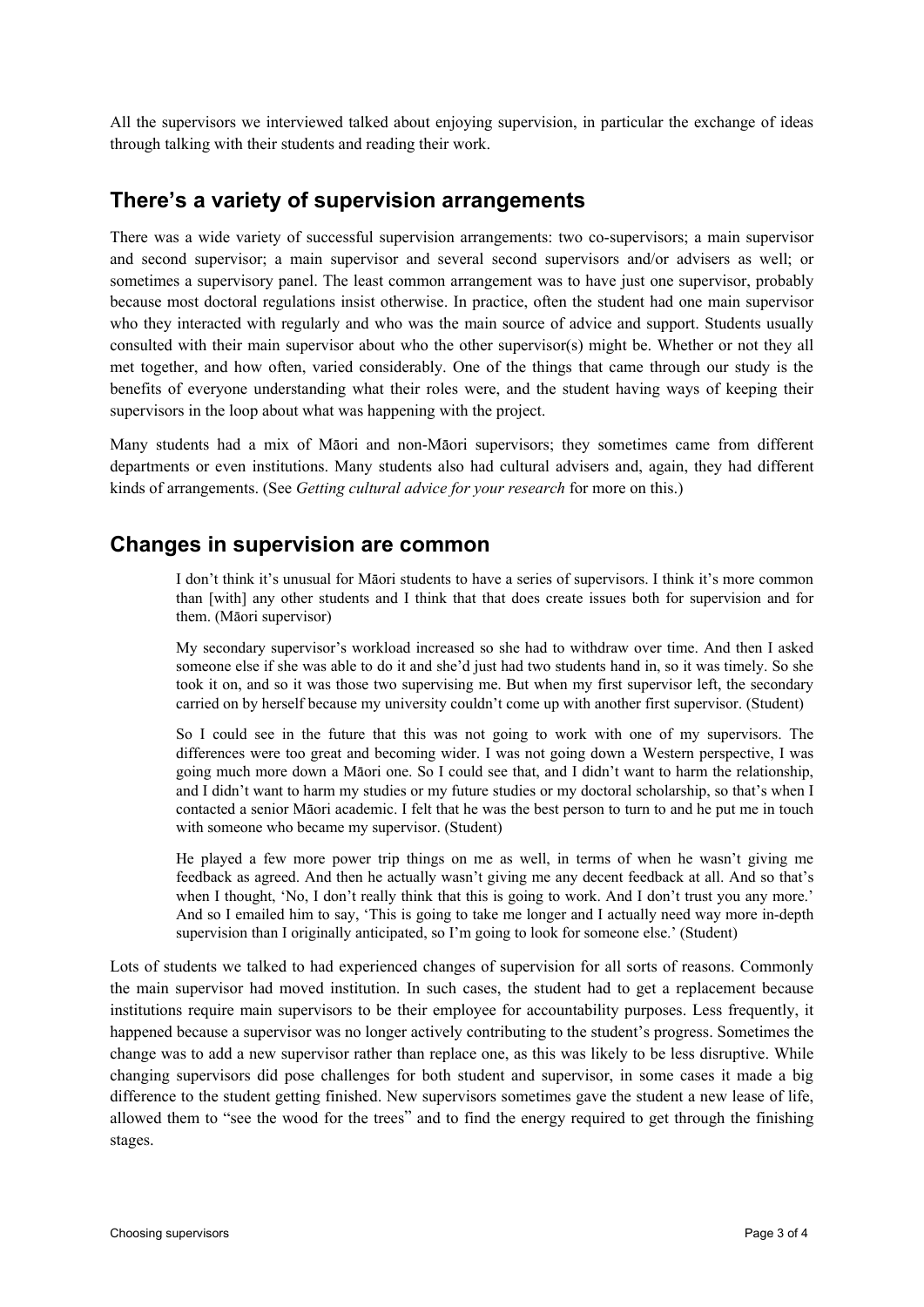All the supervisors we interviewed talked about enjoying supervision, in particular the exchange of ideas through talking with their students and reading their work.

#### **There's a variety of supervision arrangements**

There was a wide variety of successful supervision arrangements: two co-supervisors; a main supervisor and second supervisor; a main supervisor and several second supervisors and/or advisers as well; or sometimes a supervisory panel. The least common arrangement was to have just one supervisor, probably because most doctoral regulations insist otherwise. In practice, often the student had one main supervisor who they interacted with regularly and who was the main source of advice and support. Students usually consulted with their main supervisor about who the other supervisor(s) might be. Whether or not they all met together, and how often, varied considerably. One of the things that came through our study is the benefits of everyone understanding what their roles were, and the student having ways of keeping their supervisors in the loop about what was happening with the project.

Many students had a mix of Mäori and non-Mäori supervisors; they sometimes came from different departments or even institutions. Many students also had cultural advisers and, again, they had different kinds of arrangements. (See *Getting cultural advice for your research* for more on this.)

#### **Changes in supervision are common**

I don't think it's unusual for Mäori students to have a series of supervisors. I think it's more common than [with] any other students and I think that that does create issues both for supervision and for them. (Mäori supervisor)

My secondary supervisor's workload increased so she had to withdraw over time. And then I asked someone else if she was able to do it and she'd just had two students hand in, so it was timely. So she took it on, and so it was those two supervising me. But when my first supervisor left, the secondary carried on by herself because my university couldn't come up with another first supervisor. (Student)

So I could see in the future that this was not going to work with one of my supervisors. The differences were too great and becoming wider. I was not going down a Western perspective, I was going much more down a Mäori one. So I could see that, and I didn't want to harm the relationship, and I didn't want to harm my studies or my future studies or my doctoral scholarship, so that's when I contacted a senior Mäori academic. I felt that he was the best person to turn to and he put me in touch with someone who became my supervisor. (Student)

He played a few more power trip things on me as well, in terms of when he wasn't giving me feedback as agreed. And then he actually wasn't giving me any decent feedback at all. And so that's when I thought, 'No, I don't really think that this is going to work. And I don't trust you any more.' And so I emailed him to say, 'This is going to take me longer and I actually need way more in-depth supervision than I originally anticipated, so I'm going to look for someone else.' (Student)

Lots of students we talked to had experienced changes of supervision for all sorts of reasons. Commonly the main supervisor had moved institution. In such cases, the student had to get a replacement because institutions require main supervisors to be their employee for accountability purposes. Less frequently, it happened because a supervisor was no longer actively contributing to the student's progress. Sometimes the change was to add a new supervisor rather than replace one, as this was likely to be less disruptive. While changing supervisors did pose challenges for both student and supervisor, in some cases it made a big difference to the student getting finished. New supervisors sometimes gave the student a new lease of life, allowed them to "see the wood for the trees" and to find the energy required to get through the finishing stages.